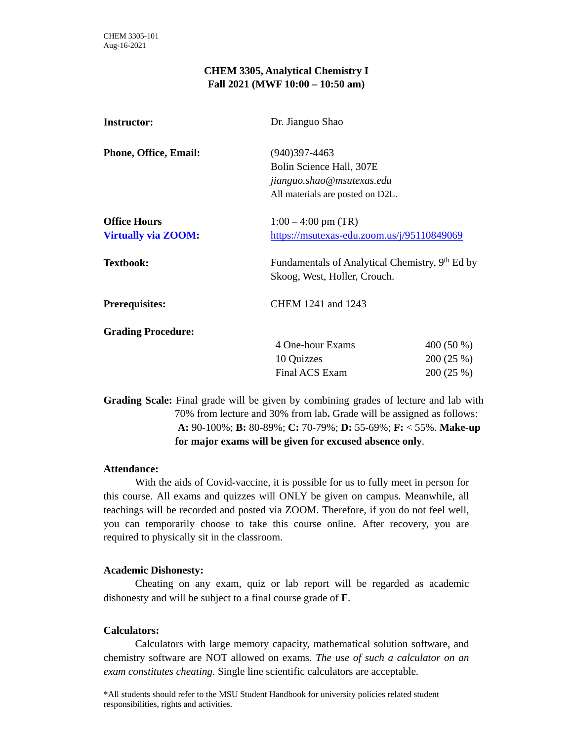## **CHEM 3305, Analytical Chemistry I Fall 2021 (MWF 10:00 – 10:50 am)**

| <b>Instructor:</b>           | Dr. Jianguo Shao                                                                            |            |  |
|------------------------------|---------------------------------------------------------------------------------------------|------------|--|
| <b>Phone, Office, Email:</b> | $(940)397 - 4463$                                                                           |            |  |
|                              | Bolin Science Hall, 307E                                                                    |            |  |
|                              | jianguo.shao@msutexas.edu                                                                   |            |  |
|                              | All materials are posted on D2L.                                                            |            |  |
| <b>Office Hours</b>          | $1:00 - 4:00$ pm (TR)                                                                       |            |  |
| <b>Virtually via ZOOM:</b>   | https://msutexas-edu.zoom.us/j/95110849069                                                  |            |  |
| <b>Textbook:</b>             | Fundamentals of Analytical Chemistry, 9 <sup>th</sup> Ed by<br>Skoog, West, Holler, Crouch. |            |  |
| <b>Prerequisites:</b>        | CHEM 1241 and 1243                                                                          |            |  |
| <b>Grading Procedure:</b>    |                                                                                             |            |  |
|                              | 4 One-hour Exams                                                                            | 400 (50 %) |  |
|                              | 10 Quizzes                                                                                  | 200(25%)   |  |
|                              | Final ACS Exam                                                                              | 200(25%)   |  |
|                              |                                                                                             |            |  |

**Grading Scale:** Final grade will be given by combining grades of lecture and lab with 70% from lecture and 30% from lab**.** Grade will be assigned as follows:  **A:** 90-100%; **B:** 80-89%; **C:** 70-79%; **D:** 55-69%; **F:** < 55%. **Make-up for major exams will be given for excused absence only**.

## **Attendance:**

With the aids of Covid-vaccine, it is possible for us to fully meet in person for this course. All exams and quizzes will ONLY be given on campus. Meanwhile, all teachings will be recorded and posted via ZOOM. Therefore, if you do not feel well, you can temporarily choose to take this course online. After recovery, you are required to physically sit in the classroom.

## **Academic Dishonesty:**

Cheating on any exam, quiz or lab report will be regarded as academic dishonesty and will be subject to a final course grade of **F**.

## **Calculators:**

Calculators with large memory capacity, mathematical solution software, and chemistry software are NOT allowed on exams. *The use of such a calculator on an exam constitutes cheating*. Single line scientific calculators are acceptable.

\*All students should refer to the MSU Student Handbook for university policies related student responsibilities, rights and activities.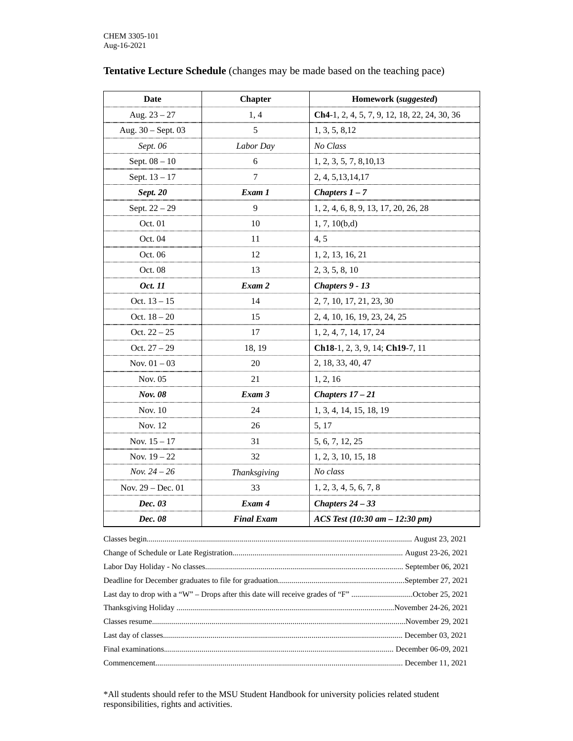| <b>Date</b>        | <b>Chapter</b>    | Homework (suggested)                                      |
|--------------------|-------------------|-----------------------------------------------------------|
| Aug. $23 - 27$     | 1,4               | Ch4-1, 2, 4, 5, 7, 9, 12, 18, 22, 24, 30, 36              |
| Aug. 30 - Sept. 03 | 5                 | 1, 3, 5, 8, 12                                            |
| Sept. 06           | Labor Day         | No Class                                                  |
| Sept. $08 - 10$    | 6                 | 1, 2, 3, 5, 7, 8, 10, 13                                  |
| Sept. 13 - 17      | 7                 | 2, 4, 5, 13, 14, 17                                       |
| <b>Sept. 20</b>    | Exam 1            | Chapters $1 - 7$                                          |
| Sept. 22 - 29      | 9                 | 1, 2, 4, 6, 8, 9, 13, 17, 20, 26, 28                      |
| Oct. 01            | 10                | 1, 7, 10(b,d)                                             |
| Oct. 04            | 11                | 4, 5                                                      |
| Oct. 06            | 12                | 1, 2, 13, 16, 21                                          |
| Oct. 08            | 13                | 2, 3, 5, 8, 10                                            |
| Oct. 11            | Exam 2            | Chapters 9 - 13                                           |
| Oct. $13 - 15$     | 14                | 2, 7, 10, 17, 21, 23, 30                                  |
| Oct. $18 - 20$     | 15                | 2, 4, 10, 16, 19, 23, 24, 25                              |
| Oct. $22 - 25$     | 17                | 1, 2, 4, 7, 14, 17, 24                                    |
| Oct. $27 - 29$     | 18, 19            | Ch <sub>18</sub> -1, 2, 3, 9, 14; Ch <sub>19</sub> -7, 11 |
| Nov. $01 - 03$     | 20                | 2, 18, 33, 40, 47                                         |
| Nov. 05            | 21                | 1, 2, 16                                                  |
| Nov. 08            | Exam 3            | Chapters $17 - 21$                                        |
| Nov. 10            | 24                | 1, 3, 4, 14, 15, 18, 19                                   |
| Nov. 12            | 26                | 5, 17                                                     |
| Nov. $15 - 17$     | 31                | 5, 6, 7, 12, 25                                           |
| Nov. $19 - 22$     | 32                | 1, 2, 3, 10, 15, 18                                       |
| Nov. $24 - 26$     | Thanksgiving      | No class                                                  |
| Nov. 29 - Dec. 01  | 33                | 1, 2, 3, 4, 5, 6, 7, 8                                    |
| Dec. 03            | Exam 4            | Chapters $24 - 33$                                        |
| Dec. 08            | <b>Final Exam</b> | $ACS Test (10:30 am - 12:30 pm)$                          |

# **Tentative Lecture Schedule** (changes may be made based on the teaching pace)

| Last day to drop with a "W" – Drops after this date will receive grades of "F" October 25, 2021 |  |
|-------------------------------------------------------------------------------------------------|--|
|                                                                                                 |  |
|                                                                                                 |  |
|                                                                                                 |  |
|                                                                                                 |  |
|                                                                                                 |  |

\*All students should refer to the MSU Student Handbook for university policies related student responsibilities, rights and activities.